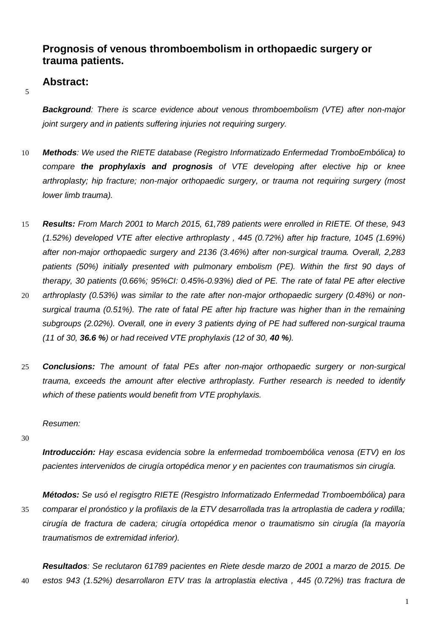# **Prognosis of venous thromboembolism in orthopaedic surgery or trauma patients.**

## **Abstract:**

5

*Background: There is scarce evidence about venous thromboembolism (VTE) after non-major joint surgery and in patients suffering injuries not requiring surgery.* 

- 10 *Methods: We used the RIETE database (Registro Informatizado Enfermedad TromboEmbólica) to compare the prophylaxis and prognosis of VTE developing after elective hip or knee arthroplasty; hip fracture; non-major orthopaedic surgery, or trauma not requiring surgery (most lower limb trauma).*
- 15 *Results: From March 2001 to March 2015, 61,789 patients were enrolled in RIETE. Of these, 943 (1.52%) developed VTE after elective arthroplasty , 445 (0.72%) after hip fracture, 1045 (1.69%) after non-major orthopaedic surgery and 2136 (3.46%) after non-surgical trauma. Overall, 2,283 patients (50%) initially presented with pulmonary embolism (PE). Within the first 90 days of therapy, 30 patients (0.66%; 95%CI: 0.45%-0.93%) died of PE. The rate of fatal PE after elective*  20 *arthroplasty (0.53%) was similar to the rate after non-major orthopaedic surgery (0.48%) or non-*
- *surgical trauma (0.51%). The rate of fatal PE after hip fracture was higher than in the remaining subgroups (2.02%). Overall, one in every 3 patients dying of PE had suffered non-surgical trauma (11 of 30, 36.6 %) or had received VTE prophylaxis (12 of 30, 40 %).*
- 25 *Conclusions: The amount of fatal PEs after non-major orthopaedic surgery or non-surgical trauma, exceeds the amount after elective arthroplasty. Further research is needed to identify which of these patients would benefit from VTE prophylaxis.*

*Resumen:*

30

*Introducción: Hay escasa evidencia sobre la enfermedad tromboembólica venosa (ETV) en los pacientes intervenidos de cirugía ortopédica menor y en pacientes con traumatismos sin cirugía.*

*Métodos: Se usó el regisgtro RIETE (Resgistro Informatizado Enfermedad Tromboembólica) para*  35 *comparar el pronóstico y la profilaxis de la ETV desarrollada tras la artroplastia de cadera y rodilla; cirugía de fractura de cadera; cirugía ortopédica menor o traumatismo sin cirugía (la mayoría traumatismos de extremidad inferior).*

*Resultados: Se reclutaron 61789 pacientes en Riete desde marzo de 2001 a marzo de 2015. De*  40 *estos 943 (1.52%) desarrollaron ETV tras la artroplastia electiva , 445 (0.72%) tras fractura de*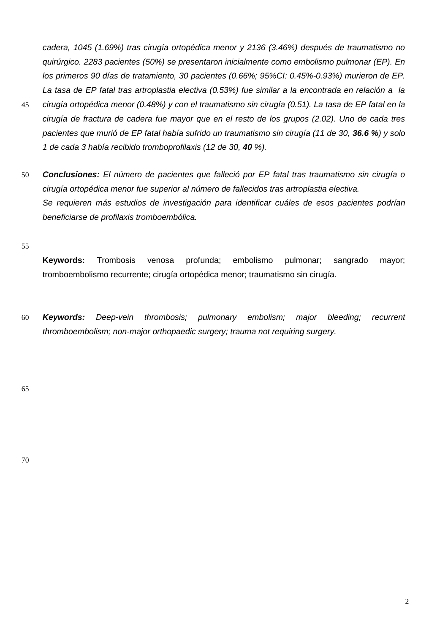*cadera, 1045 (1.69%) tras cirugía ortopédica menor y 2136 (3.46%) después de traumatismo no quirúrgico. 2283 pacientes (50%) se presentaron inicialmente como embolismo pulmonar (EP). En los primeros 90 días de tratamiento, 30 pacientes (0.66%; 95%CI: 0.45%-0.93%) murieron de EP. La tasa de EP fatal tras artroplastia electiva (0.53%) fue similar a la encontrada en relación a la* 

- 45 *cirugía ortopédica menor (0.48%) y con el traumatismo sin cirugía (0.51). La tasa de EP fatal en la cirugía de fractura de cadera fue mayor que en el resto de los grupos (2.02). Uno de cada tres pacientes que murió de EP fatal había sufrido un traumatismo sin cirugía (11 de 30, 36.6 %) y solo 1 de cada 3 había recibido tromboprofilaxis (12 de 30, 40 %).*
- 50 *Conclusiones: El número de pacientes que falleció por EP fatal tras traumatismo sin cirugía o cirugía ortopédica menor fue superior al número de fallecidos tras artroplastia electiva. Se requieren más estudios de investigación para identificar cuáles de esos pacientes podrían beneficiarse de profilaxis tromboembólica.*

55

**Keywords:** Trombosis venosa profunda; embolismo pulmonar; sangrado mayor; tromboembolismo recurrente; cirugía ortopédica menor; traumatismo sin cirugía.

60 *Keywords: Deep-vein thrombosis; pulmonary embolism; major bleeding; recurrent thromboembolism; non-major orthopaedic surgery; trauma not requiring surgery.*

65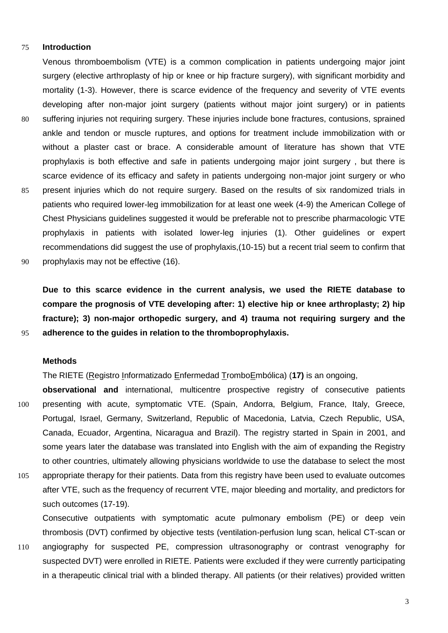### 75 **Introduction**

Venous thromboembolism (VTE) is a common complication in patients undergoing major joint surgery (elective arthroplasty of hip or knee or hip fracture surgery), with significant morbidity and mortality (1-3). However, there is scarce evidence of the frequency and severity of VTE events developing after non-major joint surgery (patients without major joint surgery) or in patients 80 suffering injuries not requiring surgery. These injuries include bone fractures, contusions, sprained ankle and tendon or muscle ruptures, and options for treatment include immobilization with or without a plaster cast or brace. A considerable amount of literature has shown that VTE prophylaxis is both effective and safe in patients undergoing major joint surgery , but there is scarce evidence of its efficacy and safety in patients undergoing non-major joint surgery or who 85 present injuries which do not require surgery. Based on the results of six randomized trials in patients who required lower-leg immobilization for at least one week (4-9) the American College of Chest Physicians guidelines suggested it would be preferable not to prescribe pharmacologic VTE prophylaxis in patients with isolated lower-leg injuries (1). Other guidelines or expert recommendations did suggest the use of prophylaxis,(10-15) but a recent trial seem to confirm that 90 prophylaxis may not be effective (16).

**Due to this scarce evidence in the current analysis, we used the RIETE database to compare the prognosis of VTE developing after: 1) elective hip or knee arthroplasty; 2) hip fracture); 3) non-major orthopedic surgery, and 4) trauma not requiring surgery and the**  95 **adherence to the guides in relation to the thromboprophylaxis.**

## **Methods**

The RIETE (Registro Informatizado Enfermedad TromboEmbólica) (**17)** is an ongoing,

**observational and** international, multicentre prospective registry of consecutive patients 100 presenting with acute, symptomatic VTE. (Spain, Andorra, Belgium, France, Italy, Greece, Portugal, Israel, Germany, Switzerland, Republic of Macedonia, Latvia, Czech Republic, USA, Canada, Ecuador, Argentina, Nicaragua and Brazil). The registry started in Spain in 2001, and some years later the database was translated into English with the aim of expanding the Registry to other countries, ultimately allowing physicians worldwide to use the database to select the most 105 appropriate therapy for their patients. Data from this registry have been used to evaluate outcomes after VTE, such as the frequency of recurrent VTE, major bleeding and mortality, and predictors for such outcomes (17-19).

Consecutive outpatients with symptomatic acute pulmonary embolism (PE) or deep vein thrombosis (DVT) confirmed by objective tests (ventilation-perfusion lung scan, helical CT-scan or 110 angiography for suspected PE, compression ultrasonography or contrast venography for suspected DVT) were enrolled in RIETE. Patients were excluded if they were currently participating in a therapeutic clinical trial with a blinded therapy. All patients (or their relatives) provided written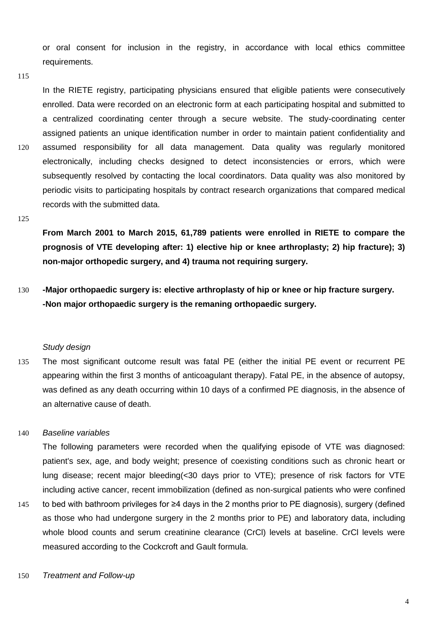or oral consent for inclusion in the registry, in accordance with local ethics committee requirements.

115

In the RIETE registry, participating physicians ensured that eligible patients were consecutively enrolled. Data were recorded on an electronic form at each participating hospital and submitted to a centralized coordinating center through a secure website. The study-coordinating center assigned patients an unique identification number in order to maintain patient confidentiality and 120 assumed responsibility for all data management. Data quality was regularly monitored electronically, including checks designed to detect inconsistencies or errors, which were subsequently resolved by contacting the local coordinators. Data quality was also monitored by periodic visits to participating hospitals by contract research organizations that compared medical records with the submitted data.

#### 125

**From March 2001 to March 2015, 61,789 patients were enrolled in RIETE to compare the prognosis of VTE developing after: 1) elective hip or knee arthroplasty; 2) hip fracture); 3) non-major orthopedic surgery, and 4) trauma not requiring surgery.**

130 **-Major orthopaedic surgery is: elective arthroplasty of hip or knee or hip fracture surgery. -Non major orthopaedic surgery is the remaning orthopaedic surgery.**

### *Study design*

135 The most significant outcome result was fatal PE (either the initial PE event or recurrent PE appearing within the first 3 months of anticoagulant therapy). Fatal PE, in the absence of autopsy, was defined as any death occurring within 10 days of a confirmed PE diagnosis, in the absence of an alternative cause of death.

## 140 *Baseline variables*

The following parameters were recorded when the qualifying episode of VTE was diagnosed: patient's sex, age, and body weight; presence of coexisting conditions such as chronic heart or lung disease; recent major bleeding(<30 days prior to VTE); presence of risk factors for VTE including active cancer, recent immobilization (defined as non-surgical patients who were confined 145 to bed with bathroom privileges for ≥4 days in the 2 months prior to PE diagnosis), surgery (defined

- as those who had undergone surgery in the 2 months prior to PE) and laboratory data, including whole blood counts and serum creatinine clearance (CrCI) levels at baseline. CrCI levels were measured according to the Cockcroft and Gault formula.
- 150 *Treatment and Follow-up*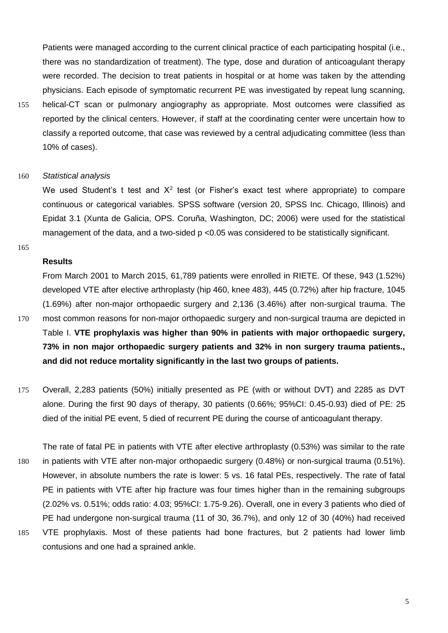Patients were managed according to the current clinical practice of each participating hospital (i.e., there was no standardization of treatment). The type, dose and duration of anticoagulant therapy were recorded. The decision to treat patients in hospital or at home was taken by the attending physicians. Each episode of symptomatic recurrent PE was investigated by repeat lung scanning, 155 helical-CT scan or pulmonary angiography as appropriate. Most outcomes were classified as reported by the clinical centers. However, if staff at the coordinating center were uncertain how to classify a reported outcome, that case was reviewed by a central adjudicating committee (less than

10% of cases).

### 160 *Statistical analysis*

We used Student's t test and  $X^2$  test (or Fisher's exact test where appropriate) to compare continuous or categorical variables. SPSS software (version 20, SPSS Inc. Chicago, Illinois) and Epidat 3.1 (Xunta de Galicia, OPS. Coruña, Washington, DC; 2006) were used for the statistical management of the data, and a two-sided p <0.05 was considered to be statistically significant.

165

## **Results**

From March 2001 to March 2015, 61,789 patients were enrolled in RIETE. Of these, 943 (1.52%) developed VTE after elective arthroplasty (hip 460, knee 483), 445 (0.72%) after hip fracture, 1045 (1.69%) after non-major orthopaedic surgery and 2,136 (3.46%) after non-surgical trauma. The 170 most common reasons for non-major orthopaedic surgery and non-surgical trauma are depicted in Table I. **VTE prophylaxis was higher than 90% in patients with major orthopaedic surgery, 73% in non major orthopaedic surgery patients and 32% in non surgery trauma patients., and did not reduce mortality significantly in the last two groups of patients.**

- 175 Overall, 2,283 patients (50%) initially presented as PE (with or without DVT) and 2285 as DVT alone. During the first 90 days of therapy, 30 patients (0.66%; 95%CI: 0.45-0.93) died of PE: 25 died of the initial PE event, 5 died of recurrent PE during the course of anticoagulant therapy.
- The rate of fatal PE in patients with VTE after elective arthroplasty (0.53%) was similar to the rate 180 in patients with VTE after non-major orthopaedic surgery (0.48%) or non-surgical trauma (0.51%). However, in absolute numbers the rate is lower: 5 vs. 16 fatal PEs, respectively. The rate of fatal PE in patients with VTE after hip fracture was four times higher than in the remaining subgroups (2.02% vs. 0.51%; odds ratio: 4.03; 95%CI: 1.75-9.26). Overall, one in every 3 patients who died of PE had undergone non-surgical trauma (11 of 30, 36.7%), and only 12 of 30 (40%) had received 185 VTE prophylaxis. Most of these patients had bone fractures, but 2 patients had lower limb contusions and one had a sprained ankle.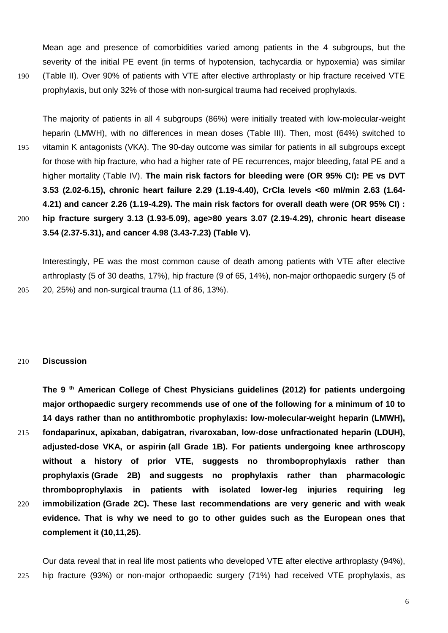Mean age and presence of comorbidities varied among patients in the 4 subgroups, but the severity of the initial PE event (in terms of hypotension, tachycardia or hypoxemia) was similar 190 (Table II). Over 90% of patients with VTE after elective arthroplasty or hip fracture received VTE prophylaxis, but only 32% of those with non-surgical trauma had received prophylaxis.

The majority of patients in all 4 subgroups (86%) were initially treated with low-molecular-weight heparin (LMWH), with no differences in mean doses (Table III). Then, most (64%) switched to 195 vitamin K antagonists (VKA). The 90-day outcome was similar for patients in all subgroups except for those with hip fracture, who had a higher rate of PE recurrences, major bleeding, fatal PE and a higher mortality (Table IV). **The main risk factors for bleeding were (OR 95% CI): PE vs DVT 3.53 (2.02-6.15), chronic heart failure 2.29 (1.19-4.40), CrCla levels <60 ml/min 2.63 (1.64- 4.21) and cancer 2.26 (1.19-4.29). The main risk factors for overall death were (OR 95% CI) :**  200 **hip fracture surgery 3.13 (1.93-5.09), age>80 years 3.07 (2.19-4.29), chronic heart disease 3.54 (2.37-5.31), and cancer 4.98 (3.43-7.23) (Table V).**

Interestingly, PE was the most common cause of death among patients with VTE after elective arthroplasty (5 of 30 deaths, 17%), hip fracture (9 of 65, 14%), non-major orthopaedic surgery (5 of 205 20, 25%) and non-surgical trauma (11 of 86, 13%).

## 210 **Discussion**

**The 9 th American College of Chest Physicians guidelines (2012) for patients undergoing major orthopaedic surgery recommends use of one of the following for a minimum of 10 to 14 days rather than no antithrombotic prophylaxis: low-molecular-weight heparin (LMWH),**  215 **fondaparinux, apixaban, dabigatran, rivaroxaban, low-dose unfractionated heparin (LDUH), adjusted-dose VKA, or aspirin (all Grade 1B). For patients undergoing knee arthroscopy without a history of prior VTE, suggests no thromboprophylaxis rather than prophylaxis (Grade 2B) and suggests no prophylaxis rather than pharmacologic thromboprophylaxis in patients with isolated lower-leg injuries requiring leg**  220 **immobilization (Grade 2C). These last recommendations are very generic and with weak evidence. That is why we need to go to other guides such as the European ones that complement it (10,11,25).**

Our data reveal that in real life most patients who developed VTE after elective arthroplasty (94%), 225 hip fracture (93%) or non-major orthopaedic surgery (71%) had received VTE prophylaxis, as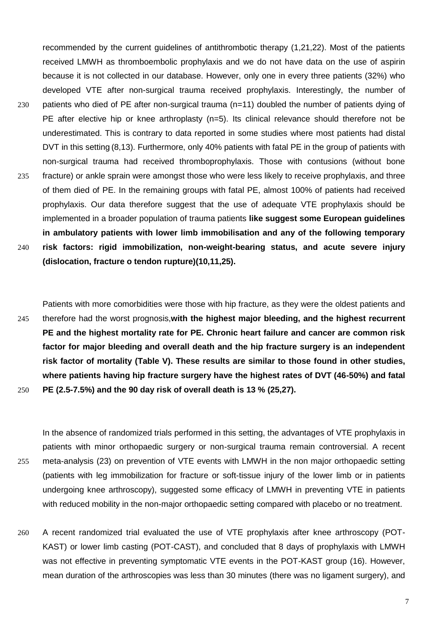recommended by the current guidelines of antithrombotic therapy (1,21,22). Most of the patients received LMWH as thromboembolic prophylaxis and we do not have data on the use of aspirin because it is not collected in our database. However, only one in every three patients (32%) who developed VTE after non-surgical trauma received prophylaxis. Interestingly, the number of 230 patients who died of PE after non-surgical trauma (n=11) doubled the number of patients dying of PE after elective hip or knee arthroplasty (n=5). Its clinical relevance should therefore not be underestimated. This is contrary to data reported in some studies where most patients had distal DVT in this setting (8,13). Furthermore, only 40% patients with fatal PE in the group of patients with non-surgical trauma had received thromboprophylaxis. Those with contusions (without bone 235 fracture) or ankle sprain were amongst those who were less likely to receive prophylaxis, and three of them died of PE. In the remaining groups with fatal PE, almost 100% of patients had received prophylaxis. Our data therefore suggest that the use of adequate VTE prophylaxis should be implemented in a broader population of trauma patients **like suggest some European guidelines in ambulatory patients with lower limb immobilisation and any of the following temporary**  240 **risk factors: rigid immobilization, non-weight-bearing status, and acute severe injury (dislocation, fracture o tendon rupture)(10,11,25).** 

Patients with more comorbidities were those with hip fracture, as they were the oldest patients and 245 therefore had the worst prognosis,**with the highest major bleeding, and the highest recurrent PE and the highest mortality rate for PE. Chronic heart failure and cancer are common risk factor for major bleeding and overall death and the hip fracture surgery is an independent risk factor of mortality (Table V). These results are similar to those found in other studies, where patients having hip fracture surgery have the highest rates of DVT (46-50%) and fatal**  250 **PE (2.5-7.5%) and the 90 day risk of overall death is 13 % (25,27).**

In the absence of randomized trials performed in this setting, the advantages of VTE prophylaxis in patients with minor orthopaedic surgery or non-surgical trauma remain controversial. A recent 255 meta-analysis (23) on prevention of VTE events with LMWH in the non major orthopaedic setting (patients with leg immobilization for fracture or soft-tissue injury of the lower limb or in patients undergoing knee arthroscopy), suggested some efficacy of LMWH in preventing VTE in patients with reduced mobility in the non-major orthopaedic setting compared with placebo or no treatment.

260 A recent randomized trial evaluated the use of VTE prophylaxis after knee arthroscopy (POT-KAST) or lower limb casting (POT-CAST), and concluded that 8 days of prophylaxis with LMWH was not effective in preventing symptomatic VTE events in the POT-KAST group (16). However, mean duration of the arthroscopies was less than 30 minutes (there was no ligament surgery), and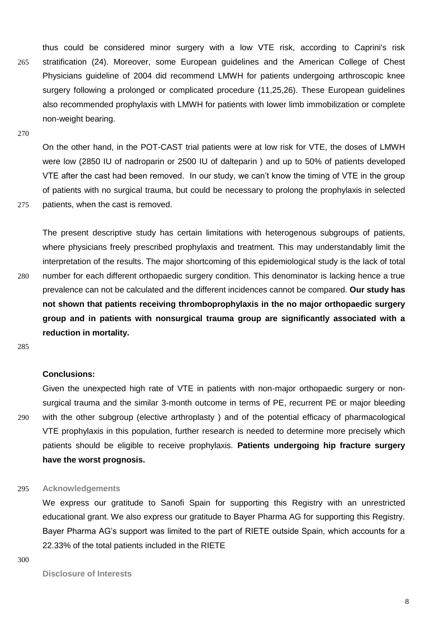thus could be considered minor surgery with a low VTE risk, according to Caprini's risk 265 stratification (24). Moreover, some European guidelines and the American College of Chest Physicians guideline of 2004 did recommend LMWH for patients undergoing arthroscopic knee surgery following a prolonged or complicated procedure (11,25,26). These European guidelines also recommended prophylaxis with LMWH for patients with lower limb immobilization or complete non-weight bearing.

270

On the other hand, in the POT-CAST trial patients were at low risk for VTE, the doses of LMWH were low (2850 IU of nadroparin or 2500 IU of dalteparin ) and up to 50% of patients developed VTE after the cast had been removed. In our study, we can't know the timing of VTE in the group of patients with no surgical trauma, but could be necessary to prolong the prophylaxis in selected 275 patients, when the cast is removed.

The present descriptive study has certain limitations with heterogenous subgroups of patients, where physicians freely prescribed prophylaxis and treatment. This may understandably limit the interpretation of the results. The major shortcoming of this epidemiological study is the lack of total 280 number for each different orthopaedic surgery condition. This denominator is lacking hence a true prevalence can not be calculated and the different incidences cannot be compared. **Our study has not shown that patients receiving thromboprophylaxis in the no major orthopaedic surgery group and in patients with nonsurgical trauma group are significantly associated with a reduction in mortality.**

285

#### **Conclusions:**

Given the unexpected high rate of VTE in patients with non-major orthopaedic surgery or nonsurgical trauma and the similar 3-month outcome in terms of PE, recurrent PE or major bleeding 290 with the other subgroup (elective arthroplasty ) and of the potential efficacy of pharmacological VTE prophylaxis in this population, further research is needed to determine more precisely which patients should be eligible to receive prophylaxis. **Patients undergoing hip fracture surgery have the worst prognosis.**

#### 295 **Acknowledgements**

We express our gratitude to Sanofi Spain for supporting this Registry with an unrestricted educational grant. We also express our gratitude to Bayer Pharma AG for supporting this Registry. Bayer Pharma AG's support was limited to the part of RIETE outside Spain, which accounts for a 22.33% of the total patients included in the RIETE

300

**Disclosure of Interests**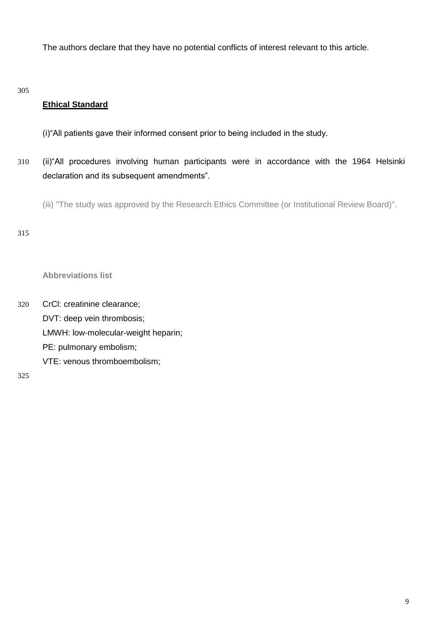The authors declare that they have no potential conflicts of interest relevant to this article.

305

# **Ethical Standard**

- (i)"All patients gave their informed consent prior to being included in the study.
- 310 (ii)"All procedures involving human participants were in accordance with the 1964 Helsinki declaration and its subsequent amendments".

(iii) "The study was approved by the Research Ethics Committee (or Institutional Review Board)".

315

**Abbreviations list**

320 CrCl: creatinine clearance; DVT: deep vein thrombosis; LMWH: low-molecular-weight heparin; PE: pulmonary embolism; VTE: venous thromboembolism;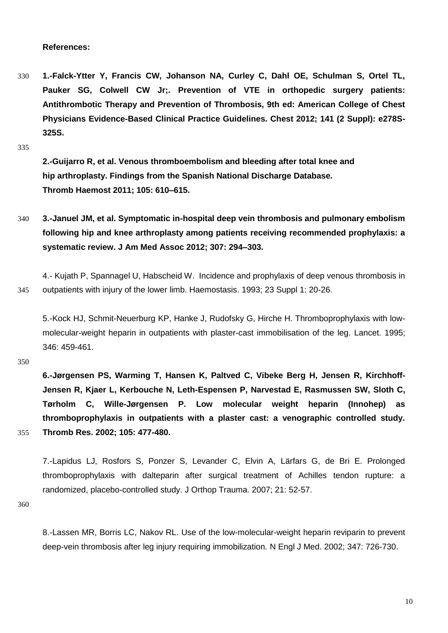**References:**

330 **1.-Falck-Ytter Y, Francis CW, Johanson NA, Curley C, Dahl OE, Schulman S, Ortel TL, Pauker SG, Colwell CW Jr;. Prevention of VTE in orthopedic surgery patients: Antithrombotic Therapy and Prevention of Thrombosis, 9th ed: American College of Chest Physicians Evidence-Based Clinical Practice Guidelines. Chest 2012; 141 (2 Suppl): e278S-325S.** 

335

**2.-Guijarro R, et al. Venous thromboembolism and bleeding after total knee and hip arthroplasty. Findings from the Spanish National Discharge Database. Thromb Haemost 2011; 105: 610–615.**

340 **3.-Januel JM, et al. Symptomatic in-hospital deep vein thrombosis and pulmonary embolism following hip and knee arthroplasty among patients receiving recommended prophylaxis: a systematic review. J Am Med Assoc 2012; 307: 294–303.**

4.- Kujath P, Spannagel U, Habscheid W. Incidence and prophylaxis of deep venous thrombosis in 345 outpatients with injury of the lower limb. Haemostasis. 1993; 23 Suppl 1: 20-26.

5.[-Kock HJ,](http://www.ncbi.nlm.nih.gov/pubmed?term=Kock%20HJ%5BAuthor%5D&cauthor=true&cauthor_uid=7637478) [Schmit-Neuerburg KP,](http://www.ncbi.nlm.nih.gov/pubmed?term=Schmit-Neuerburg%20KP%5BAuthor%5D&cauthor=true&cauthor_uid=7637478) [Hanke J,](http://www.ncbi.nlm.nih.gov/pubmed?term=Hanke%20J%5BAuthor%5D&cauthor=true&cauthor_uid=7637478) [Rudofsky G,](http://www.ncbi.nlm.nih.gov/pubmed?term=Rudofsky%20G%5BAuthor%5D&cauthor=true&cauthor_uid=7637478) [Hirche H.](http://www.ncbi.nlm.nih.gov/pubmed?term=Hirche%20H%5BAuthor%5D&cauthor=true&cauthor_uid=7637478) Thromboprophylaxis with lowmolecular-weight heparin in outpatients with plaster-cast immobilisation of the leg. [Lancet.](http://www.ncbi.nlm.nih.gov/pubmed/7637478#%23) 1995; 346: 459-461.

350

**6.[-Jørgensen PS,](http://www.ncbi.nlm.nih.gov/pubmed?term=Jˇrgensen%20PS%5BAuthor%5D&cauthor=true&cauthor_uid=12091045) [Warming T,](http://www.ncbi.nlm.nih.gov/pubmed?term=Warming%20T%5BAuthor%5D&cauthor=true&cauthor_uid=12091045) [Hansen K,](http://www.ncbi.nlm.nih.gov/pubmed?term=Hansen%20K%5BAuthor%5D&cauthor=true&cauthor_uid=12091045) [Paltved C,](http://www.ncbi.nlm.nih.gov/pubmed?term=Paltved%20C%5BAuthor%5D&cauthor=true&cauthor_uid=12091045) [Vibeke Berg H,](http://www.ncbi.nlm.nih.gov/pubmed?term=Vibeke%20Berg%20H%5BAuthor%5D&cauthor=true&cauthor_uid=12091045) [Jensen R,](http://www.ncbi.nlm.nih.gov/pubmed?term=Jensen%20R%5BAuthor%5D&cauthor=true&cauthor_uid=12091045) [Kirchhoff-](http://www.ncbi.nlm.nih.gov/pubmed?term=Kirchhoff-Jensen%20R%5BAuthor%5D&cauthor=true&cauthor_uid=12091045)[Jensen R,](http://www.ncbi.nlm.nih.gov/pubmed?term=Kirchhoff-Jensen%20R%5BAuthor%5D&cauthor=true&cauthor_uid=12091045) [Kjaer L,](http://www.ncbi.nlm.nih.gov/pubmed?term=Kjaer%20L%5BAuthor%5D&cauthor=true&cauthor_uid=12091045) [Kerbouche N,](http://www.ncbi.nlm.nih.gov/pubmed?term=Kerbouche%20N%5BAuthor%5D&cauthor=true&cauthor_uid=12091045) [Leth-Espensen P,](http://www.ncbi.nlm.nih.gov/pubmed?term=Leth-Espensen%20P%5BAuthor%5D&cauthor=true&cauthor_uid=12091045) [Narvestad E,](http://www.ncbi.nlm.nih.gov/pubmed?term=Narvestad%20E%5BAuthor%5D&cauthor=true&cauthor_uid=12091045) [Rasmussen SW,](http://www.ncbi.nlm.nih.gov/pubmed?term=Rasmussen%20SW%5BAuthor%5D&cauthor=true&cauthor_uid=12091045) [Sloth C,](http://www.ncbi.nlm.nih.gov/pubmed?term=Sloth%20C%5BAuthor%5D&cauthor=true&cauthor_uid=12091045) [Tørholm C,](http://www.ncbi.nlm.nih.gov/pubmed?term=Tˇrholm%20C%5BAuthor%5D&cauthor=true&cauthor_uid=12091045) [Wille-Jørgensen P.](http://www.ncbi.nlm.nih.gov/pubmed?term=Wille-Jˇrgensen%20P%5BAuthor%5D&cauthor=true&cauthor_uid=12091045) Low molecular weight heparin (Innohep) as thromboprophylaxis in outpatients with a plaster cast: a venographic controlled study.**  355 **[Thromb Res.](http://www.ncbi.nlm.nih.gov/pubmed/?term=jogensen+PS+LMWH+as+thromboprophylaxis+in+outpatients+with+plaster+cast+2007#%23) 2002; 105: 477-480.**

7.-Lapidus LJ, Rosfors S, Ponzer S, Levander C, Elvin A, Lärfars G, de Bri E. Prolonged thromboprophylaxis with dalteparin after surgical treatment of Achilles tendon rupture: a randomized, placebo-controlled study. J Orthop Trauma. 2007; 21: 52-57.

360

8.[-Lassen](http://www.ncbi.nlm.nih.gov/pubmed?term=Lassen%20MR%5BAuthor%5D&cauthor=true&cauthor_uid=12213943) [MR,](http://www.ncbi.nlm.nih.gov/pubmed?term=Lassen%20MR%5BAuthor%5D&cauthor=true&cauthor_uid=12213943) [Borris LC,](http://www.ncbi.nlm.nih.gov/pubmed?term=Borris%20LC%5BAuthor%5D&cauthor=true&cauthor_uid=12213943) [Nakov RL.](http://www.ncbi.nlm.nih.gov/pubmed?term=Nakov%20RL%5BAuthor%5D&cauthor=true&cauthor_uid=12213943) Use of the low-molecular-weight heparin reviparin to prevent deep-vein thrombosis after leg injury requiring immobilization. [N Engl J Med.](http://www.ncbi.nlm.nih.gov/pubmed/?term=Lassen+NEJM+2002#%23) 2002; 347: 726-730.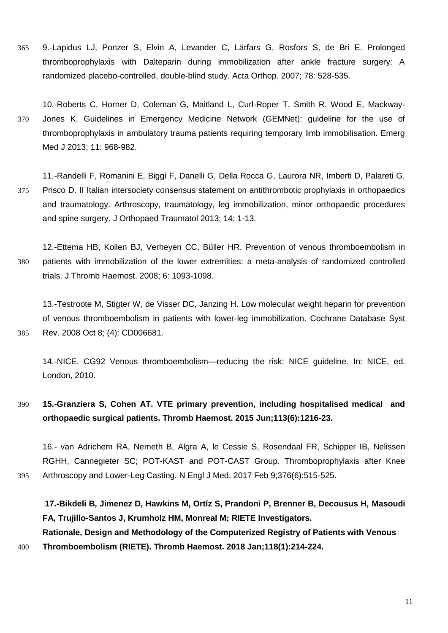365 9.-Lapidus LJ, Ponzer S, Elvin A, Levander C, Lärfars G, Rosfors S, de Bri E. Prolonged thromboprophylaxis with Dalteparin during immobilization after ankle fracture surgery: A randomized placebo-controlled, double-blind study. Acta Orthop. 2007; 78: 528-535.

10.-Roberts C, Horner D, Coleman G, Maitland L, Curl-Roper T, Smith R, Wood E, Mackway-370 Jones K. Guidelines in Emergency Medicine Network (GEMNet): guideline for the use of thromboprophylaxis in ambulatory trauma patients requiring temporary limb immobilisation. Emerg Med J 2013; 11: 968-982.

11.-Randelli F, Romanini E, Biggi F, Danelli G, Della Rocca G, Laurora NR, Imberti D, Palareti G, 375 Prisco D. II Italian intersociety consensus statement on antithrombotic prophylaxis in orthopaedics and traumatology. Arthroscopy, traumatology, leg immobilization, minor orthopaedic procedures and spine surgery. J Orthopaed Traumatol 2013; 14: 1-13.

12.-Ettema HB, Kollen BJ, Verheyen CC, Büller HR. Prevention of venous thromboembolism in 380 patients with immobilization of the lower extremities: a meta-analysis of randomized controlled trials. J Thromb Haemost. 2008; 6: 1093-1098.

13.-Testroote M, Stigter W, de Visser DC, Janzing H. Low molecular weight heparin for prevention of venous thromboembolism in patients with lower-leg immobilization. Cochrane Database Syst 385 Rev. 2008 Oct 8; (4): CD006681.

14.-NICE. CG92 Venous thromboembolism—reducing the risk: NICE guideline. In: NICE, ed. London, 2010.

390 **15.-Granziera S, Cohen AT. VTE primary prevention, including hospitalised medical and orthopaedic surgical patients. Thromb Haemost. 2015 Jun;113(6):1216-23.**

16.- van Adrichem RA, Nemeth B, Algra A, le Cessie S, Rosendaal FR, Schipper IB, Nelissen RGHH, Cannegieter SC; POT-KAST and POT-CAST Group. Thromboprophylaxis after Knee 395 Arthroscopy and Lower-Leg Casting. N Engl J Med. 2017 Feb 9;376(6):515-525.

**17.-Bikdeli B, Jimenez D, Hawkins M, Ortíz S, Prandoni P, Brenner B, Decousus H, Masoudi FA, Trujillo-Santos J, Krumholz HM, Monreal M; RIETE Investigators. Rationale, Design and Methodology of the Computerized Registry of Patients with Venous** 

400 **Thromboembolism (RIETE). Thromb Haemost. 2018 Jan;118(1):214-224.**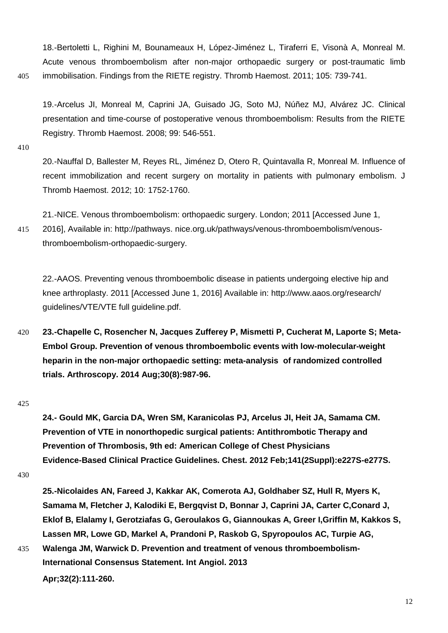18.[-Bertoletti L,](http://www.ncbi.nlm.nih.gov/pubmed?term=Bertoletti%20L%5BAuthor%5D&cauthor=true&cauthor_uid=21225101) [Righini M,](http://www.ncbi.nlm.nih.gov/pubmed?term=Righini%20M%5BAuthor%5D&cauthor=true&cauthor_uid=21225101) [Bounameaux H,](http://www.ncbi.nlm.nih.gov/pubmed?term=Bounameaux%20H%5BAuthor%5D&cauthor=true&cauthor_uid=21225101) [López-Jiménez L,](http://www.ncbi.nlm.nih.gov/pubmed?term=L€pez-Jim»nez%20L%5BAuthor%5D&cauthor=true&cauthor_uid=21225101) [Tiraferri E,](http://www.ncbi.nlm.nih.gov/pubmed?term=Tiraferri%20E%5BAuthor%5D&cauthor=true&cauthor_uid=21225101) [Visonà A,](http://www.ncbi.nlm.nih.gov/pubmed?term=Vison∑%20A%5BAuthor%5D&cauthor=true&cauthor_uid=21225101) [Monreal M.](http://www.ncbi.nlm.nih.gov/pubmed?term=Monreal%20M%5BAuthor%5D&cauthor=true&cauthor_uid=21225101) Acute venous thromboembolism after non-major orthopaedic surgery or post-traumatic limb 405 immobilisation. Findings from the RIETE registry. [Thromb Haemost.](http://www.ncbi.nlm.nih.gov/pubmed/?term=•Acute+venous+thromboembolism+after+non+major+orthopedic+surgery+and+riete+2001#%23) 2011; 105: 739-741.

19.-Arcelus JI, Monreal M, Caprini JA, Guisado JG, Soto MJ, Núñez MJ, Alvárez JC. Clinical presentation and time-course of postoperative venous thromboembolism: Results from the RIETE Registry. Thromb Haemost. 2008; 99: 546-551.

410

20.-Nauffal D, Ballester M, Reyes RL, Jiménez D, Otero R, Quintavalla R, Monreal M. Influence of recent immobilization and recent surgery on mortality in patients with pulmonary embolism. J Thromb Haemost. 2012; 10: 1752-1760.

21.-NICE. Venous thromboembolism: orthopaedic surgery. London; 2011 [Accessed June 1,

415 2016], Available in: http://pathways. nice.org.uk/pathways/venous-thromboembolism/venousthromboembolism-orthopaedic-surgery.

22.-AAOS. Preventing venous thromboembolic disease in patients undergoing elective hip and knee arthroplasty. 2011 [Accessed June 1, 2016] Available in: http://www.aaos.org/research/ guidelines/VTE/VTE full guideline.pdf.

420 **23.-Chapelle C, Rosencher N, Jacques Zufferey P, Mismetti P, Cucherat M, Laporte S; Meta-Embol Group. Prevention of venous thromboembolic events with low-molecular-weight heparin in the non-major orthopaedic setting: meta-analysis of randomized controlled trials. Arthroscopy. 2014 Aug;30(8):987-96.** 

#### 425

**24.- Gould MK, Garcia DA, Wren SM, Karanicolas PJ, Arcelus JI, Heit JA, Samama CM. Prevention of VTE in nonorthopedic surgical patients: Antithrombotic Therapy and Prevention of Thrombosis, 9th ed: American College of Chest Physicians Evidence-Based Clinical Practice Guidelines. Chest. 2012 Feb;141(2Suppl):e227S-e277S.**

**25.-Nicolaides AN, Fareed J, Kakkar AK, Comerota AJ, Goldhaber SZ, Hull R, Myers K, Samama M, Fletcher J, Kalodiki E, Bergqvist D, Bonnar J, Caprini JA, Carter C,Conard J, Eklof B, Elalamy I, Gerotziafas G, Geroulakos G, Giannoukas A, Greer I,Griffin M, Kakkos S, Lassen MR, Lowe GD, Markel A, Prandoni P, Raskob G, Spyropoulos AC, Turpie AG,** 

435 **Walenga JM, Warwick D. Prevention and treatment of venous thromboembolism-International Consensus Statement. Int Angiol. 2013**

**Apr;32(2):111-260.** 

<sup>430</sup>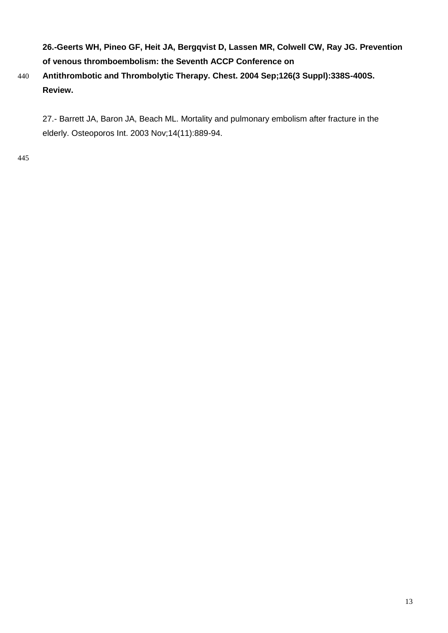**26.-Geerts WH, Pineo GF, Heit JA, Bergqvist D, Lassen MR, Colwell CW, Ray JG. Prevention of venous thromboembolism: the Seventh ACCP Conference on**

# 440 **Antithrombotic and Thrombolytic Therapy. Chest. 2004 Sep;126(3 Suppl):338S-400S. Review.**

27.- Barrett JA, Baron JA, Beach ML. Mortality and pulmonary embolism after fracture in the elderly. Osteoporos Int. 2003 Nov;14(11):889-94.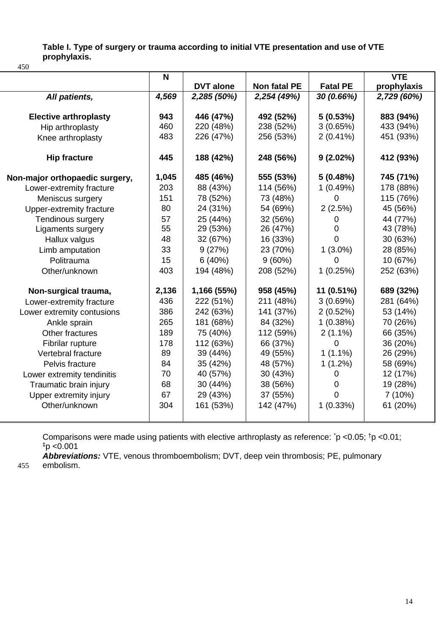**Table I. Type of surgery or trauma according to initial VTE presentation and use of VTE prophylaxis.**

450

|                                | N     |                  |              |                 | <b>VTE</b>  |
|--------------------------------|-------|------------------|--------------|-----------------|-------------|
|                                |       | <b>DVT</b> alone | Non fatal PE | <b>Fatal PE</b> | prophylaxis |
| All patients,                  | 4,569 | 2,285 (50%)      | 2,254 (49%)  | 30 (0.66%)      | 2,729 (60%) |
|                                |       |                  |              |                 |             |
| <b>Elective arthroplasty</b>   | 943   | 446 (47%)        | 492 (52%)    | 5(0.53%)        | 883 (94%)   |
| Hip arthroplasty               | 460   | 220 (48%)        | 238 (52%)    | 3(0.65%)        | 433 (94%)   |
| Knee arthroplasty              | 483   | 226 (47%)        | 256 (53%)    | $2(0.41\%)$     | 451 (93%)   |
| <b>Hip fracture</b>            | 445   | 188 (42%)        | 248 (56%)    | $9(2.02\%)$     | 412 (93%)   |
| Non-major orthopaedic surgery, | 1,045 | 485 (46%)        | 555 (53%)    | 5(0.48%)        | 745 (71%)   |
| Lower-extremity fracture       | 203   | 88 (43%)         | 114 (56%)    | 1(0.49%)        | 178 (88%)   |
| Meniscus surgery               | 151   | 78 (52%)         | 73 (48%)     | $\Omega$        | 115 (76%)   |
| Upper-extremity fracture       | 80    | 24 (31%)         | 54 (69%)     | 2(2.5%)         | 45 (56%)    |
| Tendinous surgery              | 57    | 25 (44%)         | 32 (56%)     | 0               | 44 (77%)    |
| Ligaments surgery              | 55    | 29 (53%)         | 26 (47%)     | $\Omega$        | 43 (78%)    |
| Hallux valgus                  | 48    | 32 (67%)         | 16 (33%)     | 0               | 30 (63%)    |
| Limb amputation                | 33    | 9(27%)           | 23 (70%)     | $1(3.0\%)$      | 28 (85%)    |
| Politrauma                     | 15    | 6(40%)           | 9(60%)       | 0               | 10 (67%)    |
| Other/unknown                  | 403   | 194 (48%)        | 208 (52%)    | 1(0.25%)        | 252 (63%)   |
| Non-surgical trauma,           | 2,136 | 1,166 (55%)      | 958 (45%)    | 11 (0.51%)      | 689 (32%)   |
| Lower-extremity fracture       | 436   | 222 (51%)        | 211 (48%)    | 3(0.69%)        | 281 (64%)   |
| Lower extremity contusions     | 386   | 242 (63%)        | 141 (37%)    | 2(0.52%)        | 53 (14%)    |
| Ankle sprain                   | 265   | 181 (68%)        | 84 (32%)     | 1(0.38%)        | 70 (26%)    |
| Other fractures                | 189   | 75 (40%)         | 112 (59%)    | $2(1.1\%)$      | 66 (35%)    |
| Fibrilar rupture               | 178   | 112 (63%)        | 66 (37%)     | $\Omega$        | 36 (20%)    |
| Vertebral fracture             | 89    | 39 (44%)         | 49 (55%)     | $1(1.1\%)$      | 26 (29%)    |
| Pelvis fracture                | 84    | 35 (42%)         | 48 (57%)     | $1(1.2\%)$      | 58 (69%)    |
| Lower extremity tendinitis     | 70    | 40 (57%)         | 30 (43%)     | 0               | 12 (17%)    |
| Traumatic brain injury         | 68    | 30 (44%)         | 38 (56%)     | 0               | 19 (28%)    |
| Upper extremity injury         | 67    | 29 (43%)         | 37 (55%)     | $\Omega$        | 7(10%)      |
| Other/unknown                  | 304   | 161 (53%)        | 142 (47%)    | 1(0.33%)        | 61 (20%)    |
|                                |       |                  |              |                 |             |

Comparisons were made using patients with elective arthroplasty as reference: \*p <0.05; †p <0.01;  $\frac{1}{2}$ p <0.001

*Abbreviations:* VTE, venous thromboembolism; DVT, deep vein thrombosis; PE, pulmonary 455 embolism.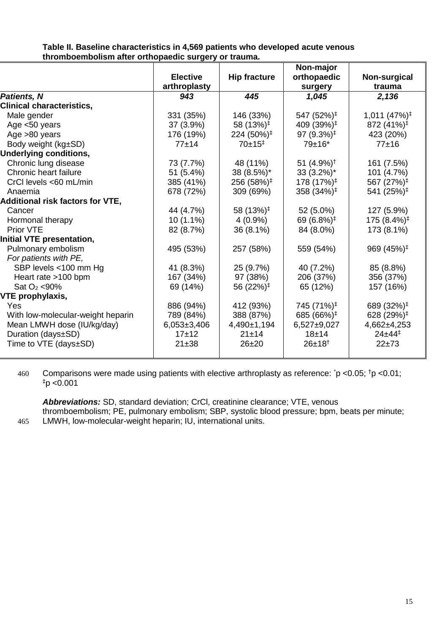## **Table II. Baseline characteristics in 4,569 patients who developed acute venous thromboembolism after orthopaedic surgery or trauma.**

|                                         |                 |                        | Non-major                             |                             |
|-----------------------------------------|-----------------|------------------------|---------------------------------------|-----------------------------|
|                                         | <b>Elective</b> | <b>Hip fracture</b>    | orthopaedic                           | Non-surgical                |
|                                         | arthroplasty    |                        | surgery                               | trauma                      |
| <b>Patients, N</b>                      | 943             | 445                    | 1,045                                 | 2,136                       |
| <b>Clinical characteristics,</b>        |                 |                        |                                       |                             |
| Male gender                             | 331 (35%)       | 146 (33%)              | 547 (52%) <sup>‡</sup>                | $1,011$ $(47\%)^{\ddagger}$ |
| Age <50 years                           | 37 (3.9%)       | 58 $(13%)^{\ddagger}$  | 409 (39%) <sup>‡</sup>                | 872 (41%) <sup>‡</sup>      |
| Age >80 years                           | 176 (19%)       | $224(50\%)^{\ddagger}$ | 97 (9.3%) <sup><math>\pm</math></sup> | 423 (20%)                   |
| Body weight (kg±SD)                     | $77 + 14$       | $70±15^+$              | $79±16*$                              | $77+16$                     |
| <b>Underlying conditions,</b>           |                 |                        |                                       |                             |
| Chronic lung disease                    | 73 (7.7%)       | 48 (11%)               | 51 $(4.9\%)^{\dagger}$                | 161 (7.5%)                  |
| Chronic heart failure                   | 51 (5.4%)       | 38 (8.5%)*             | $33(3.2\%)^*$                         | 101 (4.7%)                  |
| CrCl levels <60 mL/min                  | 385 (41%)       | 256 (58%) <sup>‡</sup> | 178 (17%) <sup>‡</sup>                | 567 (27%) <sup>‡</sup>      |
| Anaemia                                 | 678 (72%)       | 309 (69%)              | 358 (34%) <sup>‡</sup>                | 541 (25%) <sup>‡</sup>      |
| <b>Additional risk factors for VTE,</b> |                 |                        |                                       |                             |
| Cancer                                  | 44 (4.7%)       | 58 (13%) <sup>‡</sup>  | 52 (5.0%)                             | 127 (5.9%)                  |
| Hormonal therapy                        | $10(1.1\%)$     | $4(0.9\%)$             | 69 (6.8%) <sup>‡</sup>                | 175 (8.4%) <sup>‡</sup>     |
| Prior VTE                               | 82 (8.7%)       | 36 (8.1%)              | 84 (8.0%)                             | 173 (8.1%)                  |
| <b>Initial VTE presentation,</b>        |                 |                        |                                       |                             |
| Pulmonary embolism                      | 495 (53%)       | 257 (58%)              | 559 (54%)                             | 969 $(45%)^{\ddagger}$      |
| For patients with PE,                   |                 |                        |                                       |                             |
| SBP levels <100 mm Hg                   | 41 (8.3%)       | 25 (9.7%)              | 40 (7.2%)                             | 85 (8.8%)                   |
| Heart rate >100 bpm                     | 167 (34%)       | 97 (38%)               | 206 (37%)                             | 356 (37%)                   |
| Sat $O_2$ <90%                          | 69 (14%)        | 56 (22%) <sup>‡</sup>  | 65 (12%)                              | 157 (16%)                   |
| VTE prophylaxis,                        |                 |                        |                                       |                             |
| Yes                                     | 886 (94%)       | 412 (93%)              | 745 (71%) <sup>‡</sup>                | 689 (32%) <sup>‡</sup>      |
| With low-molecular-weight heparin       | 789 (84%)       | 388 (87%)              | 685 (66%) <sup>‡</sup>                | 628 (29%) <sup>‡</sup>      |
| Mean LMWH dose (IU/kg/day)              | $6,053\pm3,406$ | 4,490±1,194            | $6,527+9,027$                         | 4,662±4,253                 |
| Duration (days±SD)                      | $17 + 12$       | 21±14                  | $18 + 14$                             | $24 \pm 44^{\ddagger}$      |
| Time to VTE (days±SD)                   | $21 + 38$       | $26 + 20$              | $26 \pm 18$ <sup>†</sup>              | $22 + 73$                   |
|                                         |                 |                        |                                       |                             |

460 Comparisons were made using patients with elective arthroplasty as reference:  $\epsilon$   $>$  0.05;  $\tau$   $>$  0.01;  $p$  <0.001

*Abbreviations:* SD, standard deviation; CrCl, creatinine clearance; VTE, venous thromboembolism; PE, pulmonary embolism; SBP, systolic blood pressure; bpm, beats per minute; 465 LMWH, low-molecular-weight heparin; IU, international units.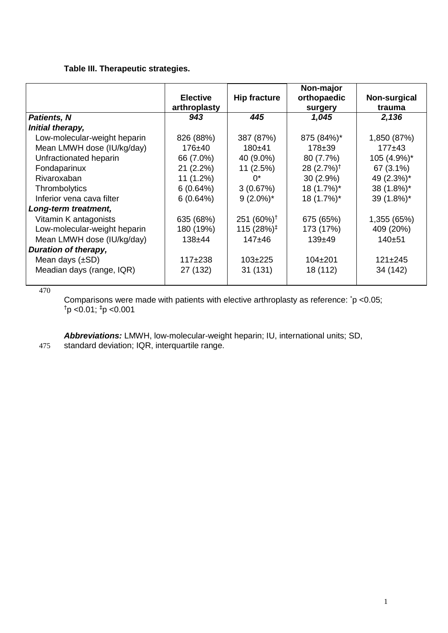# **Table III. Therapeutic strategies.**

|                              | <b>Elective</b><br>arthroplasty | <b>Hip fracture</b>    | Non-major<br>orthopaedic<br>surgery | Non-surgical<br>trauma |
|------------------------------|---------------------------------|------------------------|-------------------------------------|------------------------|
| <b>Patients, N</b>           | 943                             | 445                    | 1,045                               | 2,136                  |
| Initial therapy,             |                                 |                        |                                     |                        |
| Low-molecular-weight heparin | 826 (88%)                       | 387 (87%)              | 875 (84%)*                          | 1,850 (87%)            |
| Mean LMWH dose (IU/kg/day)   | $176 + 40$                      | $180 + 41$             | $178 + 39$                          | $177+43$               |
| Unfractionated heparin       | 66 (7.0%)                       | 40 (9.0%)              | 80 (7.7%)                           | 105 (4.9%)*            |
| Fondaparinux                 | 21(2.2%)                        | 11 (2.5%)              | 28 (2.7%) <sup>†</sup>              | 67 (3.1%)              |
| Rivaroxaban                  | $11(1.2\%)$                     | $0^*$                  | $30(2.9\%)$                         | 49 (2.3%)*             |
| Thrombolytics                | 6(0.64%)                        | 3(0.67%)               | 18 (1.7%)*                          | 38 (1.8%)*             |
| Inferior vena cava filter    | 6(0.64%)                        | $9(2.0\%)^*$           | 18 (1.7%)*                          | 39 (1.8%)*             |
| Long-term treatment,         |                                 |                        |                                     |                        |
| Vitamin K antagonists        | 635 (68%)                       | 251 $(60\%)^{\dagger}$ | 675 (65%)                           | 1,355 (65%)            |
| Low-molecular-weight heparin | 180 (19%)                       | 115 (28%) <sup>‡</sup> | 173 (17%)                           | 409 (20%)              |
| Mean LMWH dose (IU/kg/day)   | $138 + 44$                      | $147 + 46$             | $139 + 49$                          | $140 + 51$             |
| Duration of therapy,         |                                 |                        |                                     |                        |
| Mean days $(\pm SD)$         | $117+238$                       | $103+225$              | $104 \pm 201$                       | $121 \pm 245$          |
| Meadian days (range, IQR)    | 27 (132)                        | 31(131)                | 18 (112)                            | 34 (142)               |

470

Comparisons were made with patients with elective arthroplasty as reference: \*p <0.05;  $\text{tp}$  <0.01;  $\text{tp}$  <0.001

*Abbreviations:* LMWH, low-molecular-weight heparin; IU, international units; SD, 475 standard deviation; IQR, interquartile range.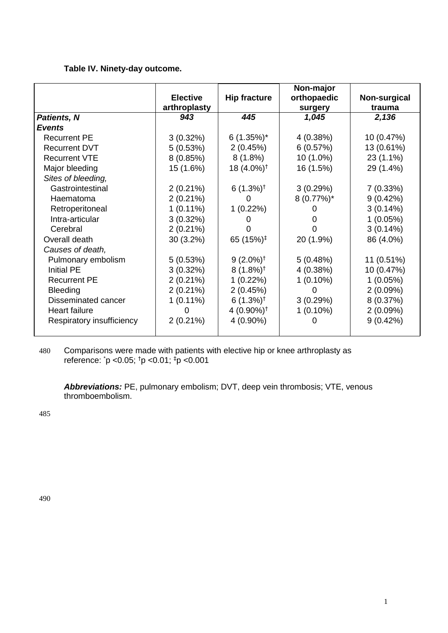# **Table IV. Ninety-day outcome.**

|                           | <b>Elective</b> | <b>Hip fracture</b>    | Non-major<br>orthopaedic | Non-surgical |
|---------------------------|-----------------|------------------------|--------------------------|--------------|
|                           | arthroplasty    |                        | surgery                  | trauma       |
| <b>Patients, N</b>        | 943             | 445                    | 1,045                    | 2,136        |
| <b>Events</b>             |                 |                        |                          |              |
| <b>Recurrent PE</b>       | $3(0.32\%)$     | $6(1.35\%)^*$          | 4 (0.38%)                | 10 (0.47%)   |
| <b>Recurrent DVT</b>      | 5(0.53%)        | 2(0.45%)               | 6(0.57%)                 | 13 (0.61%)   |
| <b>Recurrent VTE</b>      | 8(0.85%)        | $8(1.8\%)$             | 10 (1.0%)                | $23(1.1\%)$  |
| Major bleeding            | 15 (1.6%)       | 18 (4.0%) <sup>†</sup> | 16 (1.5%)                | 29 (1.4%)    |
| Sites of bleeding,        |                 |                        |                          |              |
| Gastrointestinal          | $2(0.21\%)$     | $6(1.3\%)^{\dagger}$   | 3(0.29%)                 | 7(0.33%)     |
| Haematoma                 | $2(0.21\%)$     | O                      | $8(0.77\%)^*$            | 9(0.42%)     |
| Retroperitoneal           | $1(0.11\%)$     | $1(0.22\%)$            |                          | $3(0.14\%)$  |
| Intra-articular           | $3(0.32\%)$     |                        |                          | 1(0.05%)     |
| Cerebral                  | $2(0.21\%)$     |                        |                          | 3(0.14%)     |
| Overall death             | $30(3.2\%)$     | 65 $(15%)^{\ddagger}$  | 20 (1.9%)                | 86 (4.0%)    |
| Causes of death,          |                 |                        |                          |              |
| Pulmonary embolism        | 5(0.53%)        | $9(2.0\%)^{\dagger}$   | 5(0.48%)                 | 11 (0.51%)   |
| <b>Initial PE</b>         | $3(0.32\%)$     | $8(1.8\%)^{\dagger}$   | 4 (0.38%)                | 10 (0.47%)   |
| <b>Recurrent PE</b>       | $2(0.21\%)$     | $1(0.22\%)$            | $1(0.10\%)$              | $1(0.05\%)$  |
| <b>Bleeding</b>           | $2(0.21\%)$     | 2(0.45%)               | O                        | 2(0.09%)     |
| Disseminated cancer       | $1(0.11\%)$     | $6(1.3\%)^{\dagger}$   | 3(0.29%)                 | 8(0.37%)     |
| <b>Heart failure</b>      | O               | 4 $(0.90\%)^{\dagger}$ | $1(0.10\%)$              | 2(0.09%)     |
| Respiratory insufficiency | $2(0.21\%)$     | 4 (0.90%)              | 0                        | 9(0.42%)     |
|                           |                 |                        |                          |              |

480 Comparisons were made with patients with elective hip or knee arthroplasty as reference: \*p <0.05; †p <0.01; ‡p <0.001

*Abbreviations:* PE, pulmonary embolism; DVT, deep vein thrombosis; VTE, venous thromboembolism.